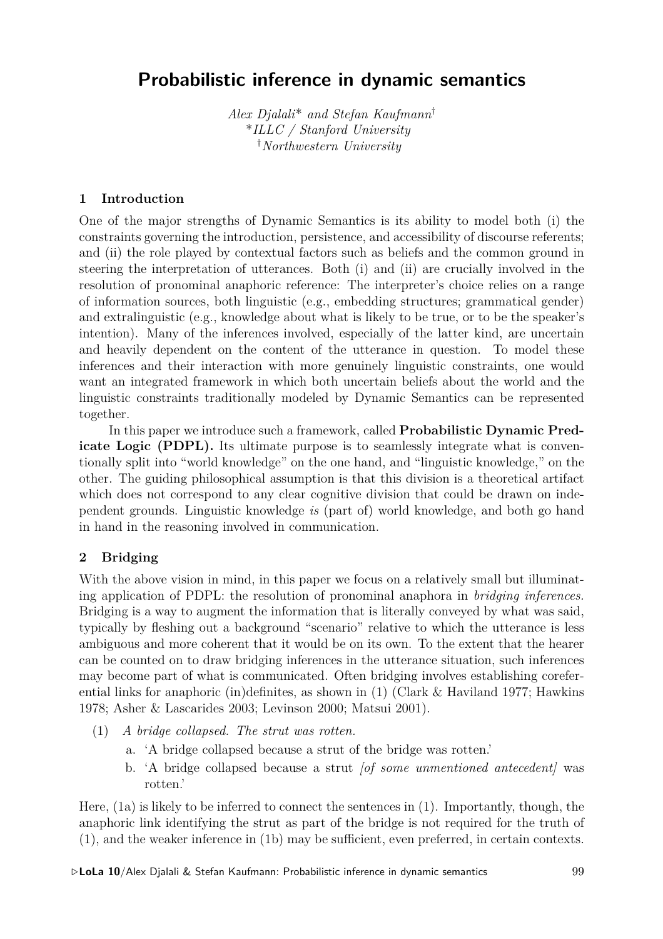# **Probabilistic inference in dynamic semantics**

*Alex Djalali*\* *and Stefan Kaufmann†* \**ILLC / Stanford University †Northwestern University*

## **1 Introduction**

One of the major strengths of Dynamic Semantics is its ability to model both (i) the constraints governing the introduction, persistence, and accessibility of discourse referents; and (ii) the role played by contextual factors such as beliefs and the common ground in steering the interpretation of utterances. Both (i) and (ii) are crucially involved in the resolution of pronominal anaphoric reference: The interpreter's choice relies on a range of information sources, both linguistic (e.g., embedding structures; grammatical gender) and extralinguistic (e.g., knowledge about what is likely to be true, or to be the speaker's intention). Many of the inferences involved, especially of the latter kind, are uncertain and heavily dependent on the content of the utterance in question. To model these inferences and their interaction with more genuinely linguistic constraints, one would want an integrated framework in which both uncertain beliefs about the world and the linguistic constraints traditionally modeled by Dynamic Semantics can be represented together.

In this paper we introduce such a framework, called **Probabilistic Dynamic Predicate Logic (PDPL).** Its ultimate purpose is to seamlessly integrate what is conventionally split into "world knowledge" on the one hand, and "linguistic knowledge," on the other. The guiding philosophical assumption is that this division is a theoretical artifact which does not correspond to any clear cognitive division that could be drawn on independent grounds. Linguistic knowledge *is* (part of) world knowledge, and both go hand in hand in the reasoning involved in communication.

# **2 Bridging**

With the above vision in mind, in this paper we focus on a relatively small but illuminating application of PDPL: the resolution of pronominal anaphora in *bridging inferences.* Bridging is a way to augment the information that is literally conveyed by what was said, typically by fleshing out a background "scenario" relative to which the utterance is less ambiguous and more coherent that it would be on its own. To the extent that the hearer can be counted on to draw bridging inferences in the utterance situation, such inferences may become part of what is communicated. Often bridging involves establishing coreferential links for anaphoric (in)definites, as shown in  $(1)$  (Clark & Haviland 1977; Hawkins 1978; Asher & Lascarides 2003; Levinson 2000; Matsui 2001).

- (1) *A bridge collapsed. The strut was rotten.*
	- a. 'A bridge collapsed because a strut of the bridge was rotten.'
	- b. 'A bridge collapsed because a strut *[of some unmentioned antecedent]* was rotten.'

Here, (1a) is likely to be inferred to connect the sentences in (1). Importantly, though, the anaphoric link identifying the strut as part of the bridge is not required for the truth of (1), and the weaker inference in (1b) may be sufficient, even preferred, in certain contexts.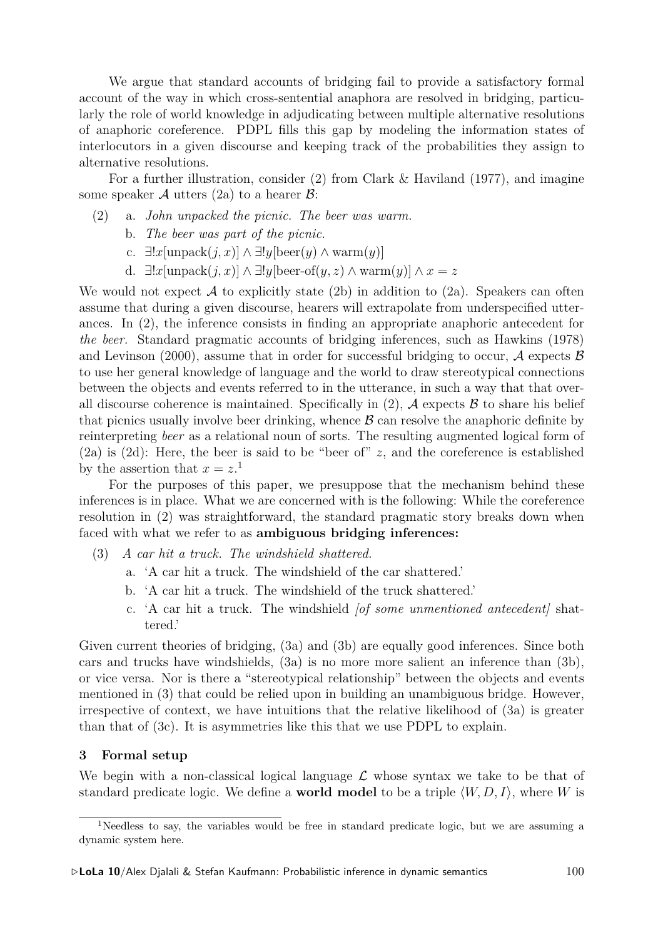We argue that standard accounts of bridging fail to provide a satisfactory formal account of the way in which cross-sentential anaphora are resolved in bridging, particularly the role of world knowledge in adjudicating between multiple alternative resolutions of anaphoric coreference. PDPL fills this gap by modeling the information states of interlocutors in a given discourse and keeping track of the probabilities they assign to alternative resolutions.

For a further illustration, consider (2) from Clark & Haviland (1977), and imagine some speaker  $A$  utters (2a) to a hearer  $B$ :

- (2) a. *John unpacked the picnic. The beer was warm.*
	- b. *The beer was part of the picnic.*
	- c. *∃*!*x*[unpack(*j, x*)] *∧ ∃*!*y*[beer(*y*) *∧* warm(*y*)]
	- d. *∃*!*x*[unpack(*j, x*)] *∧ ∃*!*y*[beer-of(*y, z*) *∧* warm(*y*)] *∧ x* = *z*

We would not expect  $A$  to explicitly state (2b) in addition to (2a). Speakers can often assume that during a given discourse, hearers will extrapolate from underspecified utterances. In (2), the inference consists in finding an appropriate anaphoric antecedent for *the beer.* Standard pragmatic accounts of bridging inferences, such as Hawkins (1978) and Levinson (2000), assume that in order for successful bridging to occur,  $\mathcal A$  expects  $\mathcal B$ to use her general knowledge of language and the world to draw stereotypical connections between the objects and events referred to in the utterance, in such a way that that overall discourse coherence is maintained. Specifically in  $(2)$ ,  $\mathcal A$  expects  $\mathcal B$  to share his belief that picnics usually involve beer drinking, whence *B* can resolve the anaphoric definite by reinterpreting *beer* as a relational noun of sorts. The resulting augmented logical form of (2a) is (2d): Here, the beer is said to be "beer of" *z*, and the coreference is established by the assertion that  $x = z$ <sup>1</sup>.

For the purposes of this paper, we presuppose that the mechanism behind these inferences is in place. What we are concerned with is the following: While the coreference resolution in (2) was straightforward, the standard pragmatic story breaks down when faced with what we refer to as **ambiguous bridging inferences:**

- (3) *A car hit a truck. The windshield shattered.*
	- a. 'A car hit a truck. The windshield of the car shattered.'
	- b. 'A car hit a truck. The windshield of the truck shattered.'
	- c. 'A car hit a truck. The windshield *[of some unmentioned antecedent]* shattered.'

Given current theories of bridging, (3a) and (3b) are equally good inferences. Since both cars and trucks have windshields, (3a) is no more more salient an inference than (3b), or vice versa. Nor is there a "stereotypical relationship" between the objects and events mentioned in (3) that could be relied upon in building an unambiguous bridge. However, irrespective of context, we have intuitions that the relative likelihood of (3a) is greater than that of (3c). It is asymmetries like this that we use PDPL to explain.

### **3 Formal setup**

We begin with a non-classical logical language  $\mathcal L$  whose syntax we take to be that of standard predicate logic. We define a **world model** to be a triple  $\langle W, D, I \rangle$ , where *W* is

<sup>&</sup>lt;sup>1</sup>Needless to say, the variables would be free in standard predicate logic, but we are assuming a dynamic system here.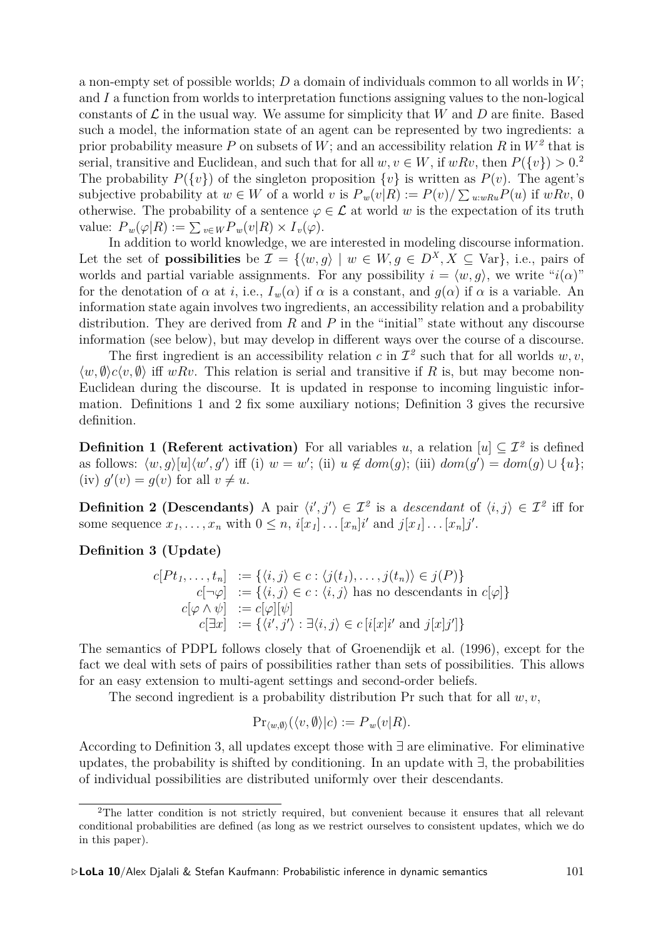a non-empty set of possible worlds; *D* a domain of individuals common to all worlds in *W*; and *I* a function from worlds to interpretation functions assigning values to the non-logical constants of  $\mathcal L$  in the usual way. We assume for simplicity that *W* and *D* are finite. Based such a model, the information state of an agent can be represented by two ingredients: a prior probability measure P on subsets of  $W$ ; and an accessibility relation R in  $W^2$  that is serial, transitive and Euclidean, and such that for all  $w, v \in W$ , if  $w R v$ , then  $P({v}) > 0.2$ The probability  $P({v})$  of the singleton proposition  ${v}$  is written as  $P(v)$ . The agent's subjective probability at  $w \in W$  of a world  $v$  is  $P_w(v|R) := P(v)/\sum_{u:wRu} P(u)$  if  $wRv, 0$ otherwise. The probability of a sentence  $\varphi \in \mathcal{L}$  at world *w* is the expectation of its truth value:  $P_w(\varphi|R) := \sum_{v \in W} P_w(v|R) \times I_v(\varphi)$ .

In addition to world knowledge, we are interested in modeling discourse information. Let the set of **possibilities** be  $\mathcal{I} = \{ \langle w, g \rangle \mid w \in W, g \in D^X, X \subseteq \text{Var} \},$  i.e., pairs of worlds and partial variable assignments. For any possibility  $i = \langle w, g \rangle$ , we write " $i(\alpha)$ " for the denotation of  $\alpha$  at *i*, i.e.,  $I_w(\alpha)$  if  $\alpha$  is a constant, and  $g(\alpha)$  if  $\alpha$  is a variable. An information state again involves two ingredients, an accessibility relation and a probability distribution. They are derived from *R* and *P* in the "initial" state without any discourse information (see below), but may develop in different ways over the course of a discourse.

The first ingredient is an accessibility relation  $c$  in  $\mathcal{I}^2$  such that for all worlds  $w, v$ ,  $\langle w, \emptyset \rangle$ *c* $\langle v, \emptyset \rangle$  iff *wRv*. This relation is serial and transitive if *R* is, but may become non-Euclidean during the discourse. It is updated in response to incoming linguistic information. Definitions 1 and 2 fix some auxiliary notions; Definition 3 gives the recursive definition.

**Definition 1 (Referent activation)** For all variables *u*, a relation  $[u] \subseteq \mathcal{I}^2$  is defined as follows:  $\langle w, g \rangle[u] \langle w', g' \rangle$  iff (i)  $w = w'$ ; (ii)  $u \notin dom(g)$ ; (iii)  $dom(g') = dom(g) \cup \{u\}$ ;  $(iv) g'(v) = g(v)$  for all  $v \neq u$ .

**Definition 2 (Descendants)** A pair  $\langle i', j' \rangle \in \mathcal{I}^2$  is a *descendant* of  $\langle i, j \rangle \in \mathcal{I}^2$  iff for some sequence  $x_1, \ldots, x_n$  with  $0 \leq n$ ,  $i[x_1] \ldots [x_n]i'$  and  $j[x_1] \ldots [x_n]j'.$ 

**Definition 3 (Update)**

$$
c[Pt_1, \ldots, t_n] := \{ \langle i, j \rangle \in c : \langle j(t_1), \ldots, j(t_n) \rangle \in j(P) \}
$$
  
\n
$$
c[\neg \varphi] := \{ \langle i, j \rangle \in c : \langle i, j \rangle \text{ has no descendants in } c[\varphi] \}
$$
  
\n
$$
c[\varphi \land \psi] := c[\varphi][\psi]
$$
  
\n
$$
c[\exists x] := \{ \langle i', j' \rangle : \exists \langle i, j \rangle \in c[i[x]i' \text{ and } j[x]j' ] \}
$$

The semantics of PDPL follows closely that of Groenendijk et al. (1996), except for the fact we deal with sets of pairs of possibilities rather than sets of possibilities. This allows for an easy extension to multi-agent settings and second-order beliefs.

The second ingredient is a probability distribution Pr such that for all *w, v*,

$$
\Pr_{\langle w,\emptyset\rangle}(\langle v,\emptyset\rangle|c) := P_w(v|R).
$$

According to Definition 3, all updates except those with *∃* are eliminative. For eliminative updates, the probability is shifted by conditioning. In an update with *∃*, the probabilities of individual possibilities are distributed uniformly over their descendants.

<sup>&</sup>lt;sup>2</sup>The latter condition is not strictly required, but convenient because it ensures that all relevant conditional probabilities are defined (as long as we restrict ourselves to consistent updates, which we do in this paper).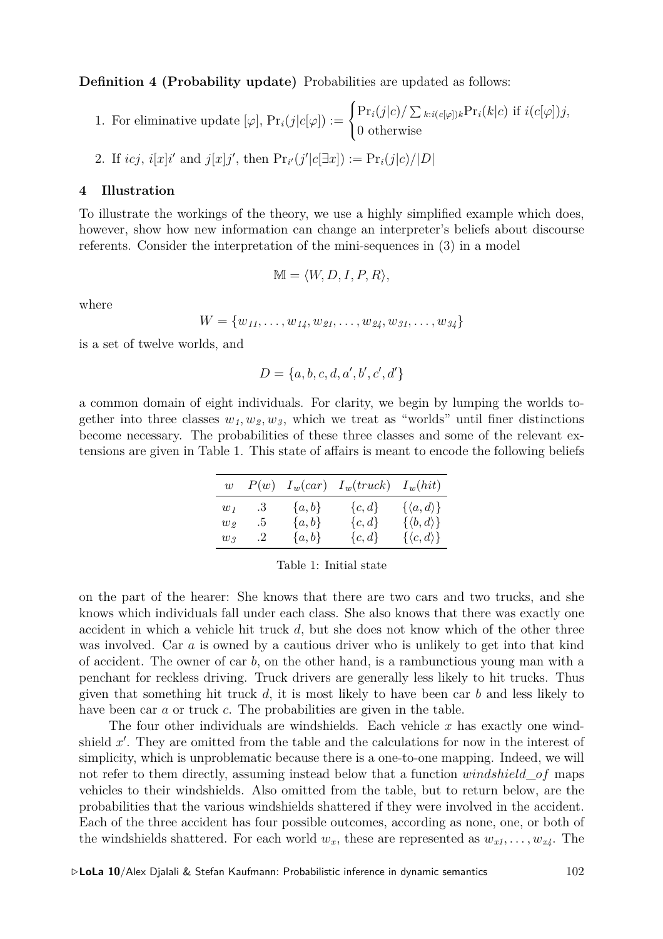**Definition 4 (Probability update)** Probabilities are updated as follows:

- 1. For eliminative update  $[\varphi], \Pr_i(j|c[\varphi]) :=$  $\sqrt{ }$ Į  $\mathcal{L}$  $\Pr_i(j|c) / \sum_{k:i(c[\varphi])k} \Pr_i(k|c)$  if  $i(c[\varphi])j$ , 0 otherwise
- 2. If  $icj$ ,  $i[x]i'$  and  $j[x]j'$ , then  $Pr_{i'}(j'|c[\exists x]) := Pr_i(j|c)/|D|$

## **4 Illustration**

To illustrate the workings of the theory, we use a highly simplified example which does, however, show how new information can change an interpreter's beliefs about discourse referents. Consider the interpretation of the mini-sequences in (3) in a model

$$
\mathbb{M} = \langle W, D, I, P, R \rangle,
$$

where

 $W = \{w_{11}, \ldots, w_{14}, w_{21}, \ldots, w_{24}, w_{31}, \ldots, w_{34}\}$ 

is a set of twelve worlds, and

$$
D = \{a, b, c, d, a', b', c', d'\}
$$

a common domain of eight individuals. For clarity, we begin by lumping the worlds together into three classes  $w_1, w_2, w_3$ , which we treat as "worlds" until finer distinctions become necessary. The probabilities of these three classes and some of the relevant extensions are given in Table 1. This state of affairs is meant to encode the following beliefs

| $\overline{w}$    | P(w)                 | $I_w(car)$ | $I_w(truck)$ | $I_w(hit)$                 |
|-------------------|----------------------|------------|--------------|----------------------------|
| $w_1$             | .3                   | $\{a,b\}$  | ${c,d}$      | $\{\langle a, d \rangle\}$ |
| $w_{\mathcal{D}}$ | .5                   | $\{a,b\}$  | $\{c,d\}$    | $\{\langle b, d \rangle\}$ |
| $w_{\mathcal{R}}$ | $\cdot$ <sup>2</sup> | $\{a,b\}$  | ${c,d}$      | $\{\langle c, d \rangle\}$ |

Table 1: Initial state

on the part of the hearer: She knows that there are two cars and two trucks, and she knows which individuals fall under each class. She also knows that there was exactly one accident in which a vehicle hit truck *d*, but she does not know which of the other three was involved. Car *a* is owned by a cautious driver who is unlikely to get into that kind of accident. The owner of car *b*, on the other hand, is a rambunctious young man with a penchant for reckless driving. Truck drivers are generally less likely to hit trucks. Thus given that something hit truck *d*, it is most likely to have been car *b* and less likely to have been car *a* or truck *c*. The probabilities are given in the table.

The four other individuals are windshields. Each vehicle *x* has exactly one windshield x'. They are omitted from the table and the calculations for now in the interest of simplicity, which is unproblematic because there is a one-to-one mapping. Indeed, we will not refer to them directly, assuming instead below that a function *windshield*\_*of* maps vehicles to their windshields. Also omitted from the table, but to return below, are the probabilities that the various windshields shattered if they were involved in the accident. Each of the three accident has four possible outcomes, according as none, one, or both of the windshields shattered. For each world  $w_x$ , these are represented as  $w_{x1}, \ldots, w_{x4}$ . The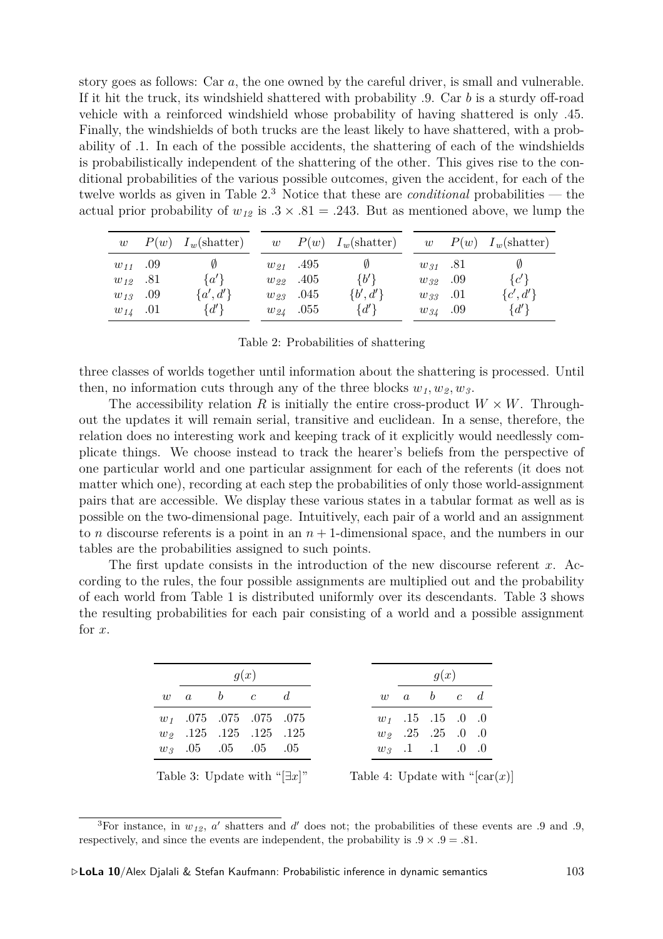story goes as follows: Car *a*, the one owned by the careful driver, is small and vulnerable. If it hit the truck, its windshield shattered with probability *.*9. Car *b* is a sturdy off-road vehicle with a reinforced windshield whose probability of having shattered is only *.*45. Finally, the windshields of both trucks are the least likely to have shattered, with a probability of *.*1. In each of the possible accidents, the shattering of each of the windshields is probabilistically independent of the shattering of the other. This gives rise to the conditional probabilities of the various possible outcomes, given the accident, for each of the twelve worlds as given in Table 2.<sup>3</sup> Notice that these are *conditional* probabilities — the actual prior probability of  $w_{12}$  is  $.3 \times .81 = .243$ . But as mentioned above, we lump the

| w            | $P(w)$ $I_w(\text{shatter})$ | w |               | $P(w)$ $I_w(\text{shatter})$ | w |              | $P(w)$ $I_w(\text{shatter})$ |
|--------------|------------------------------|---|---------------|------------------------------|---|--------------|------------------------------|
| $w_{11}$ .09 | Ø                            |   | $w_{21}$ .495 | Ø                            |   | $w_{31}$ .81 |                              |
| $w_{12}$ .81 | $\{a'\}\$                    |   | $w_{22}$ .405 | $\{b'\}$                     |   | $w_{32}$ .09 | ${c'}$                       |
| $w_{13}$ .09 | $\{a',d'\}$                  |   | $w_{23}$ .045 | $\{b',d'\}$                  |   | $w_{33}$ .01 | $\{c',d'\}$                  |
| $w_{14}$ .01 | $\{d'\}$                     |   | $w_{24}$ .055 | $\{d'\}$                     |   | $w_{34}$ .09 | $\{d'\}\$                    |

|  | Table 2: Probabilities of shattering |  |  |
|--|--------------------------------------|--|--|
|--|--------------------------------------|--|--|

three classes of worlds together until information about the shattering is processed. Until then, no information cuts through any of the three blocks  $w_1, w_2, w_3$ .

The accessibility relation R is initially the entire cross-product  $W \times W$ . Throughout the updates it will remain serial, transitive and euclidean. In a sense, therefore, the relation does no interesting work and keeping track of it explicitly would needlessly complicate things. We choose instead to track the hearer's beliefs from the perspective of one particular world and one particular assignment for each of the referents (it does not matter which one), recording at each step the probabilities of only those world-assignment pairs that are accessible. We display these various states in a tabular format as well as is possible on the two-dimensional page. Intuitively, each pair of a world and an assignment to *n* discourse referents is a point in an  $n + 1$ -dimensional space, and the numbers in our tables are the probabilities assigned to such points.

The first update consists in the introduction of the new discourse referent *x*. According to the rules, the four possible assignments are multiplied out and the probability of each world from Table 1 is distributed uniformly over its descendants. Table 3 shows the resulting probabilities for each pair consisting of a world and a possible assignment for *x*.

| q(x) |                                     |  |  |
|------|-------------------------------------|--|--|
|      | $w \quad a \quad b \quad c \quad d$ |  |  |
|      | $w_1$ .075 .075 .075 .075           |  |  |
|      | $w_2$ .125 .125 .125 .125           |  |  |
|      | $w_3$ .05 .05 .05 .05               |  |  |

Table 3: Update with "[*∃x*]"

Table 4: Update with " $\left[\text{car}(x)\right]$ 

<sup>&</sup>lt;sup>3</sup>For instance, in  $w_{12}$ ,  $a'$  shatters and  $d'$  does not; the probabilities of these events are .9 and .9, respectively, and since the events are independent, the probability is  $.9 \times .9 = .81$ .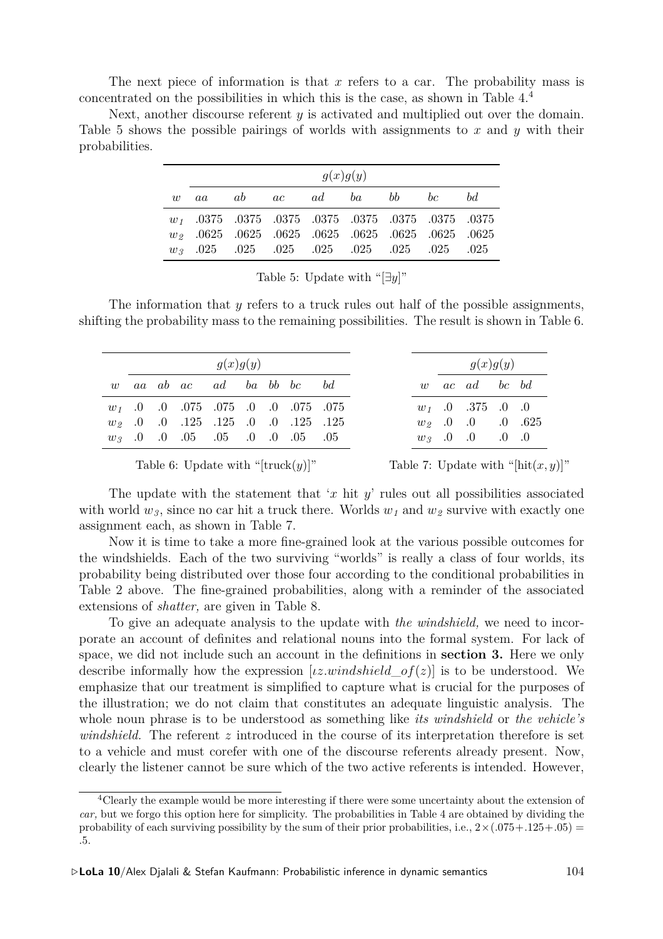The next piece of information is that *x* refers to a car. The probability mass is concentrated on the possibilities in which this is the case, as shown in Table 4.<sup>4</sup>

Next, another discourse referent *y* is activated and multiplied out over the domain. Table 5 shows the possible pairings of worlds with assignments to *x* and *y* with their probabilities.

| g(x)g(y) |                                                       |  |  |  |  |  |  |  |  |  |
|----------|-------------------------------------------------------|--|--|--|--|--|--|--|--|--|
|          | w aa ab ac ad ba bb bc bd                             |  |  |  |  |  |  |  |  |  |
|          | $w_1$ .0375 .0375 .0375 .0375 .0375 .0375 .0375 .0375 |  |  |  |  |  |  |  |  |  |
|          | $w_2$ .0625 .0625 .0625 .0625 .0625 .0625 .0625 .0625 |  |  |  |  |  |  |  |  |  |
|          |                                                       |  |  |  |  |  |  |  |  |  |

Table 5: Update with "[*∃y*]"

The information that *y* refers to a truck rules out half of the possible assignments, shifting the probability mass to the remaining possibilities. The result is shown in Table 6.

|  |                                           | g(x)g(y) |  |  |
|--|-------------------------------------------|----------|--|--|
|  | w aa ab ac ad ba bb bc bd                 |          |  |  |
|  | $w_1$ .0 .0 .075 .075 .0 .0 .075 .075     |          |  |  |
|  | $w_2$ .0 .0 .125 .125 .0 .0 .125 .125     |          |  |  |
|  | $w_3$ 0. 0. 0. 0. 0. 0. 0. 0. 0. 0. 0. 0. |          |  |  |

Table 6: Update with "[truck $(y)$ ]"

Table 7: Update with "[hit $(x, y)$ ]"

The update with the statement that '*x* hit *y*' rules out all possibilities associated with world *w3*, since no car hit a truck there. Worlds *w<sup>1</sup>* and *w<sup>2</sup>* survive with exactly one assignment each, as shown in Table 7.

Now it is time to take a more fine-grained look at the various possible outcomes for the windshields. Each of the two surviving "worlds" is really a class of four worlds, its probability being distributed over those four according to the conditional probabilities in Table 2 above. The fine-grained probabilities, along with a reminder of the associated extensions of *shatter,* are given in Table 8.

To give an adequate analysis to the update with *the windshield,* we need to incorporate an account of definites and relational nouns into the formal system. For lack of space, we did not include such an account in the definitions in **section 3.** Here we only describe informally how the expression [*ιz.windshield*\_*of*(*z*)] is to be understood. We emphasize that our treatment is simplified to capture what is crucial for the purposes of the illustration; we do not claim that constitutes an adequate linguistic analysis. The whole noun phrase is to be understood as something like *its windshield* or *the vehicle's windshield.* The referent *z* introduced in the course of its interpretation therefore is set to a vehicle and must corefer with one of the discourse referents already present. Now, clearly the listener cannot be sure which of the two active referents is intended. However,

<sup>4</sup>Clearly the example would be more interesting if there were some uncertainty about the extension of *car,* but we forgo this option here for simplicity. The probabilities in Table 4 are obtained by dividing the probability of each surviving possibility by the sum of their prior probabilities, i.e.,  $2 \times (0.075 + 0.125 + 0.05) =$ *.*5.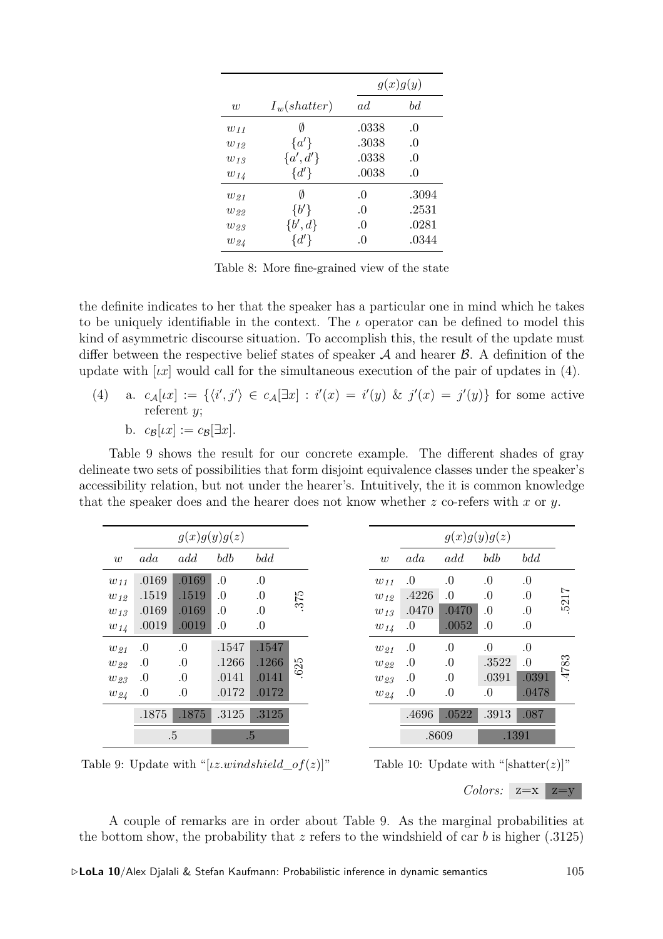|          |                | g(x)g(y) |          |  |  |  |
|----------|----------------|----------|----------|--|--|--|
| w        | $I_w(shatter)$ | ad       | bd       |  |  |  |
| $w_{11}$ | Ø              | .0338    | .0       |  |  |  |
| $w_{12}$ | $\{a'\}\$      | .3038    | $\Omega$ |  |  |  |
| $w_{13}$ | ${a', d'}$     | .0338    | .0       |  |  |  |
| $w_{14}$ | $\{d'\}$       | .0038    | $\Omega$ |  |  |  |
| $w_{21}$ | Ø              | $\Omega$ | .3094    |  |  |  |
| $w_{22}$ | $\{b'\}$       | .0       | .2531    |  |  |  |
| $w_{23}$ | $\{b',d\}$     | $\Omega$ | .0281    |  |  |  |
| $w_{24}$ | $\{d'\}$       | .0       | .0344    |  |  |  |

Table 8: More fine-grained view of the state

the definite indicates to her that the speaker has a particular one in mind which he takes to be uniquely identifiable in the context. The *ι* operator can be defined to model this kind of asymmetric discourse situation. To accomplish this, the result of the update must differ between the respective belief states of speaker *A* and hearer *B*. A definition of the update with  $\lceil \mu x \rceil$  would call for the simultaneous execution of the pair of updates in (4).

(4) a.  $c_{\mathcal{A}}[ix] := \{ \langle i', j' \rangle \in c_{\mathcal{A}}[\exists x] : i'(x) = i'(y) \& j'(x) = j'(y) \}$  for some active referent *y*; b.  $c_{\mathcal{B}}[tx] := c_{\mathcal{B}}[\exists x].$ 

Table 9 shows the result for our concrete example. The different shades of gray delineate two sets of possibilities that form disjoint equivalence classes under the speaker's accessibility relation, but not under the hearer's. Intuitively, the it is common knowledge that the speaker does and the hearer does not know whether *z* co-refers with *x* or *y*.

|          |         | g(x)g(y)g(z) |       |         |     |          |         | g(x)g(y)g(z) |           |       |  |
|----------|---------|--------------|-------|---------|-----|----------|---------|--------------|-----------|-------|--|
| w        | ada     | add          | bdb   | bdd     |     | w        | ada     | add          | bdb       | bdd   |  |
| $w_{11}$ | .0169   | .0169        | .0    | .0      |     | $w_{11}$ | .0      | 0.0          | 0.0       | 0.0   |  |
| $w_{12}$ | .1519   | .1519        | .0    | $\cdot$ | 375 | $w_{12}$ | .4226   | 0.           | .0        | 0.    |  |
| $w_{13}$ | .0169   | .0169        | 0.    | 0.      |     | $w_{13}$ | .0470   | .0470        | .0        | 0.0   |  |
| $w_{14}$ | .0019   | .0019        | 0.    | 0.      |     | $w_{14}$ | $\cdot$ | .0052        | $\cdot 0$ | 0.    |  |
| $w_{21}$ | .0      | .0           | .1547 | .1547   |     | $w_{21}$ | .0      | 0.           | .0        | 0.0   |  |
| $w_{22}$ | .0      | 0.           | .1266 | .1266   | 25  | $w_{22}$ | .0      | 0.           | .3522     | .0    |  |
| $w_{23}$ | $_{0}$  | .0           | .0141 | .0141   | ڣ   | $w_{23}$ | .0      | .0           | .0391     | .0391 |  |
| $w_{24}$ | $\cdot$ | 0.           | .0172 | .0172   |     | $w_{24}$ | .0      | 0.           | 0.0       | .0478 |  |
|          | .1875   | .1875        | .3125 | .3125   |     |          | .4696   | .0522        | .3913     | .087  |  |
|          |         | .5           |       | $.5\,$  |     |          |         | .8609        |           | .1391 |  |

Table 9: Update with "[*ιz.windshield*\_*of*(*z*)]"

Table 10: Update with " $[\text{shatter}(z)]$ "

*Colors:*  $z=x$   $z=y$ 

A couple of remarks are in order about Table 9. As the marginal probabilities at the bottom show, the probability that  $z$  refers to the windshield of car  $b$  is higher (.3125)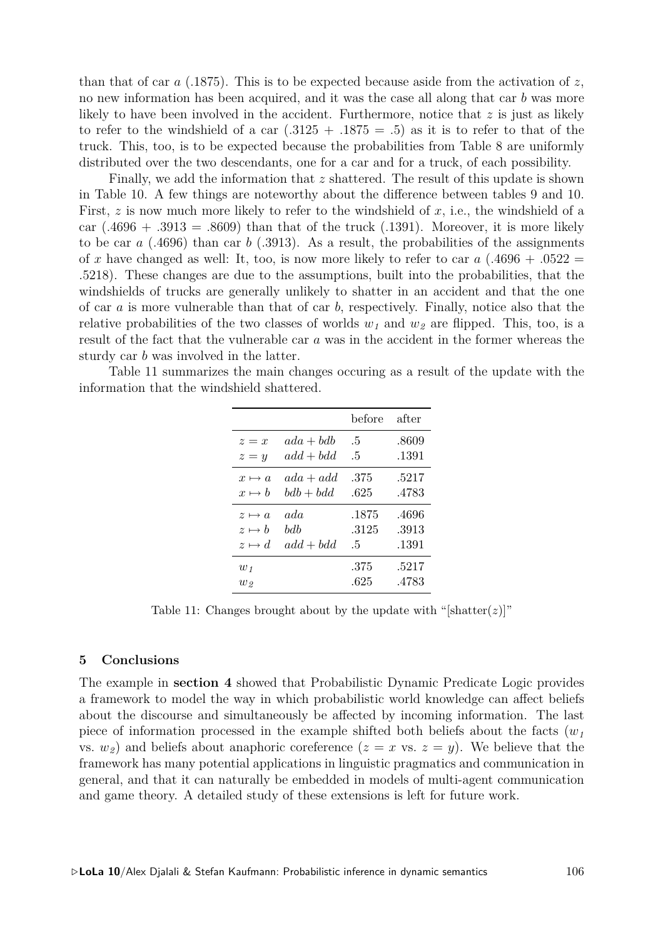than that of car  $a$  (.1875). This is to be expected because aside from the activation of  $z$ , no new information has been acquired, and it was the case all along that car *b* was more likely to have been involved in the accident. Furthermore, notice that *z* is just as likely to refer to the windshield of a car  $(.3125 + .1875 = .5)$  as it is to refer to that of the truck. This, too, is to be expected because the probabilities from Table 8 are uniformly distributed over the two descendants, one for a car and for a truck, of each possibility.

Finally, we add the information that *z* shattered. The result of this update is shown in Table 10. A few things are noteworthy about the difference between tables 9 and 10. First, *z* is now much more likely to refer to the windshield of *x*, i.e., the windshield of a car  $(.4696 + .3913 = .8609)$  than that of the truck  $(.1391)$ . Moreover, it is more likely to be car *a* (.4696) than car *b* (.3913). As a result, the probabilities of the assignments of x have changed as well: It, too, is now more likely to refer to car  $a$  (.4696 + .0522 = .5218). These changes are due to the assumptions, built into the probabilities, that the windshields of trucks are generally unlikely to shatter in an accident and that the one of car *a* is more vulnerable than that of car *b*, respectively. Finally, notice also that the relative probabilities of the two classes of worlds  $w<sub>1</sub>$  and  $w<sub>2</sub>$  are flipped. This, too, is a result of the fact that the vulnerable car *a* was in the accident in the former whereas the sturdy car *b* was involved in the latter.

Table 11 summarizes the main changes occuring as a result of the update with the information that the windshield shattered.

|               |             | before       | after |
|---------------|-------------|--------------|-------|
| $z=x$         | $ada + bdb$ | $.5\,$       | .8609 |
| $z = y$       | $add + bdd$ | $.5\,$       | .1391 |
| $x \mapsto a$ | $ada + add$ | .375         | .5217 |
| $x \mapsto b$ | $bdb + bdd$ | .625         | .4783 |
| $z \mapsto a$ | ada         | .1875        | .4696 |
| $z \mapsto b$ | bdb         | .3125        | .3913 |
| $z \mapsto d$ | $add + bdd$ | $.5^{\circ}$ | .1391 |
| $w_1$         |             | .375         | .5217 |
| $w_{2}$       |             | .625         | .4783 |

Table 11: Changes brought about by the update with "[shatter( $z$ )]"

#### **5 Conclusions**

The example in **section 4** showed that Probabilistic Dynamic Predicate Logic provides a framework to model the way in which probabilistic world knowledge can affect beliefs about the discourse and simultaneously be affected by incoming information. The last piece of information processed in the example shifted both beliefs about the facts  $(w<sub>1</sub>)$ vs.  $w_2$  and beliefs about anaphoric coreference  $(z = x \text{ vs. } z = y)$ . We believe that the framework has many potential applications in linguistic pragmatics and communication in general, and that it can naturally be embedded in models of multi-agent communication and game theory. A detailed study of these extensions is left for future work.